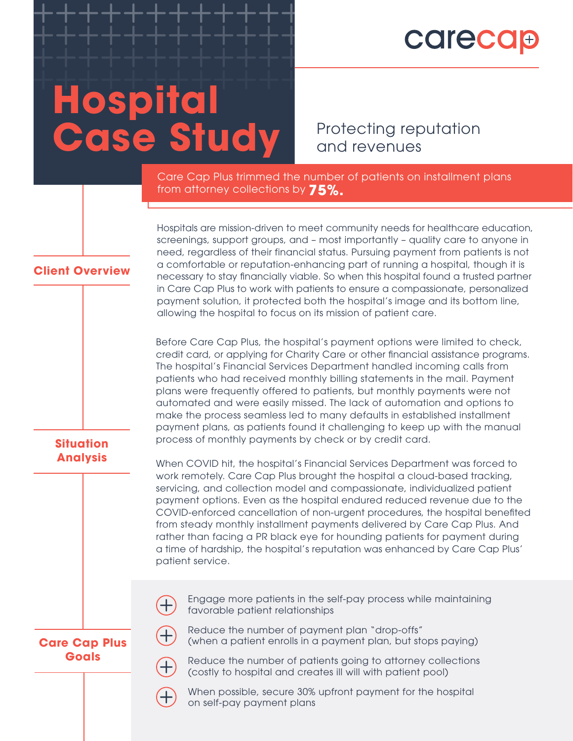## **Carecap**

## **Hospital Case Study**

Protecting reputation and revenues

Care Cap Plus trimmed the number of patients on installment plans from attorney collections by **75%.**

Hospitals are mission-driven to meet community needs for healthcare education, screenings, support groups, and – most importantly – quality care to anyone in need, regardless of their financial status. Pursuing payment from patients is not a comfortable or reputation-enhancing part of running a hospital, though it is necessary to stay financially viable. So when this hospital found a trusted partner in Care Cap Plus to work with patients to ensure a compassionate, personalized payment solution, it protected both the hospital's image and its bottom line, allowing the hospital to focus on its mission of patient care.

Before Care Cap Plus, the hospital's payment options were limited to check, credit card, or applying for Charity Care or other financial assistance programs. The hospital's Financial Services Department handled incoming calls from patients who had received monthly billing statements in the mail. Payment plans were frequently offered to patients, but monthly payments were not automated and were easily missed. The lack of automation and options to make the process seamless led to many defaults in established installment payment plans, as patients found it challenging to keep up with the manual process of monthly payments by check or by credit card.

When COVID hit, the hospital's Financial Services Department was forced to work remotely. Care Cap Plus brought the hospital a cloud-based tracking, servicing, and collection model and compassionate, individualized patient payment options. Even as the hospital endured reduced revenue due to the COVID-enforced cancellation of non-urgent procedures, the hospital benefited from steady monthly installment payments delivered by Care Cap Plus. And rather than facing a PR black eye for hounding patients for payment during a time of hardship, the hospital's reputation was enhanced by Care Cap Plus' patient service.

Engage more patients in the self-pay process while maintaining favorable patient relationships

**Care Cap Plus Goals**

**Client Overview**

**Situation Analysis**

- (when a patient enrolls in a payment plan, but stops paying) Reduce the number of patients going to attorney collections
	- (costly to hospital and creates ill will with patient pool)

Reduce the number of payment plan "drop-offs"



When possible, secure 30% upfront payment for the hospital on self-pay payment plans